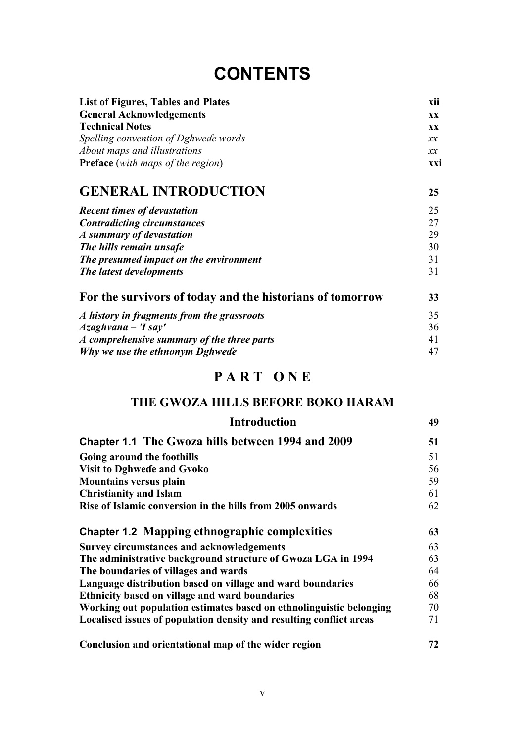# **CONTENTS**

| List of Figures, Tables and Plates       | xii        |
|------------------------------------------|------------|
| <b>General Acknowledgements</b>          | <b>XX</b>  |
| <b>Technical Notes</b>                   | <b>XX</b>  |
| Spelling convention of Dghwede words     | $\chi\chi$ |
| About maps and illustrations             | $\chi\chi$ |
| <b>Preface</b> (with maps of the region) | xxi        |
| <b>CENERAL INTRODUCTION</b>              |            |

| <u>ULIUNU ININODUCIION</u>             | $\overline{a}$ |
|----------------------------------------|----------------|
| <b>Recent times of devastation</b>     | 25             |
| <b>Contradicting circumstances</b>     | 27             |
| A summary of devastation               | 29             |
| The hills remain unsafe                | 30             |
| The presumed impact on the environment | 31             |
| The latest developments                | 31             |
|                                        |                |

| For the survivors of today and the historians of tomorrow |    |
|-----------------------------------------------------------|----|
| A history in fragments from the grassroots                | 35 |
| $Azaghvana - Tsay'$                                       | 36 |
| A comprehensive summary of the three parts                | 41 |
| Why we use the ethnonym Dghwede                           | 47 |

# **P A R T O N E**

### **THE GWOZA HILLS BEFORE BOKO HARAM**

| <b>Introduction</b>                                                 | 49 |
|---------------------------------------------------------------------|----|
| Chapter 1.1 The Gwoza hills between 1994 and 2009                   | 51 |
| Going around the foothills                                          | 51 |
| <b>Visit to Dghwede and Gvoko</b>                                   | 56 |
| <b>Mountains versus plain</b>                                       | 59 |
| <b>Christianity and Islam</b>                                       | 61 |
| Rise of Islamic conversion in the hills from 2005 onwards           | 62 |
| <b>Chapter 1.2 Mapping ethnographic complexities</b>                | 63 |
| <b>Survey circumstances and acknowledgements</b>                    | 63 |
| The administrative background structure of Gwoza LGA in 1994        | 63 |
| The boundaries of villages and wards                                | 64 |
| Language distribution based on village and ward boundaries          | 66 |
| Ethnicity based on village and ward boundaries                      | 68 |
| Working out population estimates based on ethnolinguistic belonging | 70 |
| Localised issues of population density and resulting conflict areas | 71 |
| Conclusion and orientational map of the wider region                | 72 |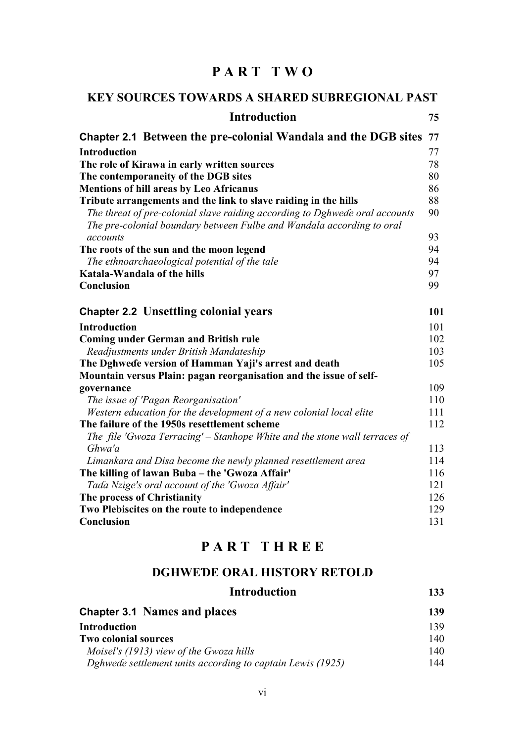### **P A R T T W O**

| <b>KEY SOURCES TOWARDS A SHARED SUBREGIONAL PAST</b>                                                                                                 |     |
|------------------------------------------------------------------------------------------------------------------------------------------------------|-----|
| <b>Introduction</b>                                                                                                                                  | 75  |
| Chapter 2.1 Between the pre-colonial Wandala and the DGB sites                                                                                       | 77  |
| <b>Introduction</b>                                                                                                                                  | 77  |
| The role of Kirawa in early written sources                                                                                                          | 78  |
| The contemporaneity of the DGB sites                                                                                                                 | 80  |
| <b>Mentions of hill areas by Leo Africanus</b>                                                                                                       | 86  |
| Tribute arrangements and the link to slave raiding in the hills                                                                                      | 88  |
| The threat of pre-colonial slave raiding according to Dghwede oral accounts<br>The pre-colonial boundary between Fulbe and Wandala according to oral | 90  |
| accounts                                                                                                                                             | 93  |
| The roots of the sun and the moon legend                                                                                                             | 94  |
| The ethnoarchaeological potential of the tale                                                                                                        | 94  |
| Katala-Wandala of the hills                                                                                                                          | 97  |
| Conclusion                                                                                                                                           | 99  |
| <b>Chapter 2.2 Unsettling colonial years</b>                                                                                                         | 101 |
| <b>Introduction</b>                                                                                                                                  | 101 |
| <b>Coming under German and British rule</b>                                                                                                          | 102 |
| Readjustments under British Mandateship                                                                                                              | 103 |
| The Dghwede version of Hamman Yaji's arrest and death                                                                                                | 105 |
| Mountain versus Plain: pagan reorganisation and the issue of self-                                                                                   |     |
| governance                                                                                                                                           | 109 |
| The issue of 'Pagan Reorganisation'                                                                                                                  | 110 |
| Western education for the development of a new colonial local elite                                                                                  | 111 |
| The failure of the 1950s resettlement scheme                                                                                                         | 112 |
| The file 'Gwoza Terracing' – Stanhope White and the stone wall terraces of<br>Ghwa'a                                                                 | 113 |
| Limankara and Disa become the newly planned resettlement area                                                                                        | 114 |
| The killing of lawan Buba - the 'Gwoza Affair'                                                                                                       | 116 |
| Tada Nzige's oral account of the 'Gwoza Affair'                                                                                                      | 121 |
| The process of Christianity                                                                                                                          | 126 |
| Two Plebiscites on the route to independence                                                                                                         | 129 |
| Conclusion                                                                                                                                           | 131 |

## **P A R T T H R E E**

#### **DGHWEƊE ORAL HISTORY RETOLD**

| <b>Introduction</b>                                        | 133 |
|------------------------------------------------------------|-----|
| <b>Chapter 3.1 Names and places</b>                        | 139 |
| <b>Introduction</b>                                        | 139 |
| <b>Two colonial sources</b>                                | 140 |
| Moisel's (1913) view of the Gwoza hills                    | 140 |
| Dghwede settlement units according to captain Lewis (1925) | 144 |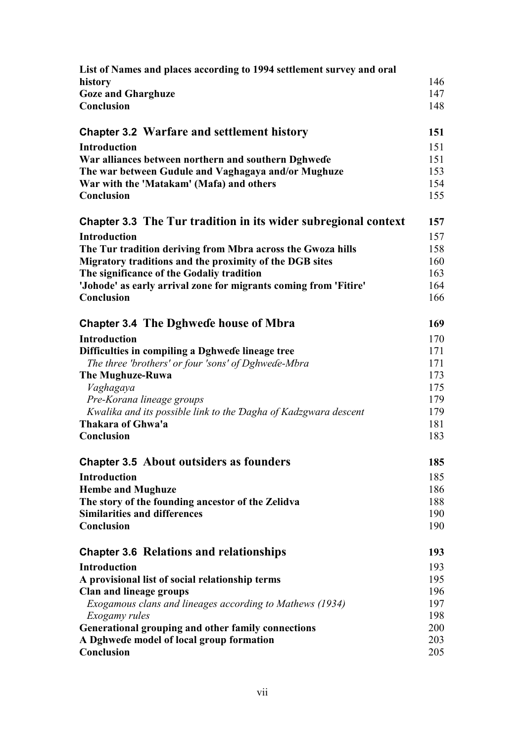| List of Names and places according to 1994 settlement survey and oral |     |
|-----------------------------------------------------------------------|-----|
| history                                                               | 146 |
| <b>Goze and Gharghuze</b>                                             | 147 |
| Conclusion                                                            | 148 |
| <b>Chapter 3.2 Warfare and settlement history</b>                     | 151 |
| <b>Introduction</b>                                                   | 151 |
| War alliances between northern and southern Dghwede                   | 151 |
| The war between Gudule and Vaghagaya and/or Mughuze                   | 153 |
| War with the 'Matakam' (Mafa) and others                              | 154 |
| Conclusion                                                            | 155 |
| Chapter 3.3 The Tur tradition in its wider subregional context        | 157 |
| <b>Introduction</b>                                                   | 157 |
| The Tur tradition deriving from Mbra across the Gwoza hills           | 158 |
| Migratory traditions and the proximity of the DGB sites               | 160 |
| The significance of the Godaliy tradition                             | 163 |
| 'Johode' as early arrival zone for migrants coming from 'Fitire'      | 164 |
| Conclusion                                                            | 166 |
| <b>Chapter 3.4 The Dghwede house of Mbra</b>                          | 169 |
| <b>Introduction</b>                                                   | 170 |
| Difficulties in compiling a Dghwede lineage tree                      | 171 |
| The three 'brothers' or four 'sons' of Dghwede-Mbra                   | 171 |
| The Mughuze-Ruwa                                                      | 173 |
| Vaghagaya                                                             | 175 |
| Pre-Korana lineage groups                                             | 179 |
| Kwalika and its possible link to the Dagha of Kadzgwara descent       | 179 |
| Thakara of Ghwa'a                                                     | 181 |
| Conclusion                                                            | 183 |
| <b>Chapter 3.5 About outsiders as founders</b>                        | 185 |
| <b>Introduction</b>                                                   | 185 |
| <b>Hembe and Mughuze</b>                                              | 186 |
| The story of the founding ancestor of the Zelidva                     | 188 |
| <b>Similarities and differences</b>                                   | 190 |
| Conclusion                                                            | 190 |
| <b>Chapter 3.6 Relations and relationships</b>                        | 193 |
| <b>Introduction</b>                                                   | 193 |
| A provisional list of social relationship terms                       | 195 |
| <b>Clan and lineage groups</b>                                        | 196 |
| Exogamous clans and lineages according to Mathews (1934)              | 197 |
| Exogamy rules                                                         | 198 |
| Generational grouping and other family connections                    | 200 |
| A Dghwede model of local group formation                              | 203 |
| Conclusion                                                            | 205 |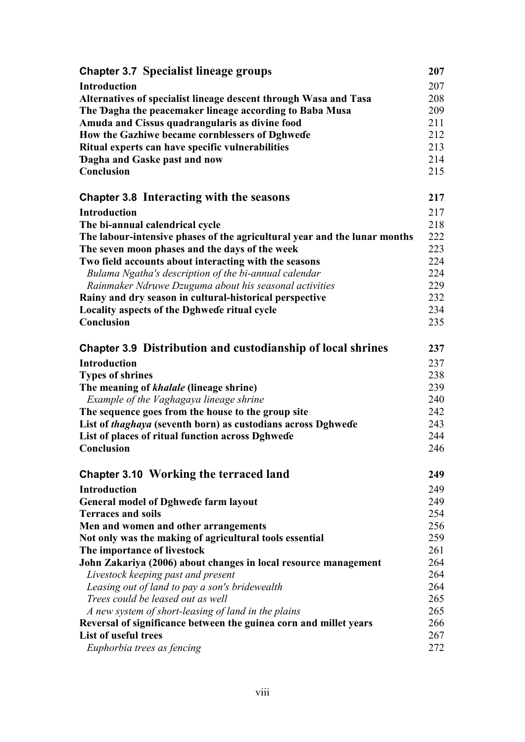| <b>Chapter 3.7 Specialist lineage groups</b>                              | 207 |
|---------------------------------------------------------------------------|-----|
| <b>Introduction</b>                                                       | 207 |
| Alternatives of specialist lineage descent through Wasa and Tasa          | 208 |
| The Dagha the peacemaker lineage according to Baba Musa                   | 209 |
| Amuda and Cissus quadrangularis as divine food                            | 211 |
| How the Gazhiwe became cornblessers of Dghwede                            | 212 |
| Ritual experts can have specific vulnerabilities                          | 213 |
| Dagha and Gaske past and now                                              | 214 |
| Conclusion                                                                | 215 |
| <b>Chapter 3.8 Interacting with the seasons</b>                           | 217 |
| <b>Introduction</b>                                                       | 217 |
| The bi-annual calendrical cycle                                           | 218 |
| The labour-intensive phases of the agricultural year and the lunar months | 222 |
| The seven moon phases and the days of the week                            | 223 |
| Two field accounts about interacting with the seasons                     | 224 |
| Bulama Ngatha's description of the bi-annual calendar                     | 224 |
| Rainmaker Ndruwe Dzuguma about his seasonal activities                    | 229 |
| Rainy and dry season in cultural-historical perspective                   | 232 |
| Locality aspects of the Dghwede ritual cycle                              | 234 |
| Conclusion                                                                | 235 |
| <b>Chapter 3.9 Distribution and custodianship of local shrines</b>        | 237 |
| <b>Introduction</b>                                                       | 237 |
| <b>Types of shrines</b>                                                   | 238 |
| The meaning of khalale (lineage shrine)                                   | 239 |
| Example of the Vaghagaya lineage shrine                                   | 240 |
| The sequence goes from the house to the group site                        | 242 |
| List of thaghaya (seventh born) as custodians across Dghwede              | 243 |
| List of places of ritual function across Dghwede                          | 244 |
| Conclusion                                                                | 246 |
| <b>Chapter 3.10 Working the terraced land</b>                             | 249 |
| <b>Introduction</b>                                                       | 249 |
| <b>General model of Dghwede farm layout</b>                               | 249 |
| <b>Terraces and soils</b>                                                 | 254 |
| Men and women and other arrangements                                      | 256 |
| Not only was the making of agricultural tools essential                   | 259 |
| The importance of livestock                                               | 261 |
| John Zakariya (2006) about changes in local resource management           | 264 |
| Livestock keeping past and present                                        | 264 |
| Leasing out of land to pay a son's bridewealth                            | 264 |
| Trees could be leased out as well                                         | 265 |
| A new system of short-leasing of land in the plains                       | 265 |
| Reversal of significance between the guinea corn and millet years         | 266 |
| List of useful trees                                                      | 267 |
| Euphorbia trees as fencing                                                | 272 |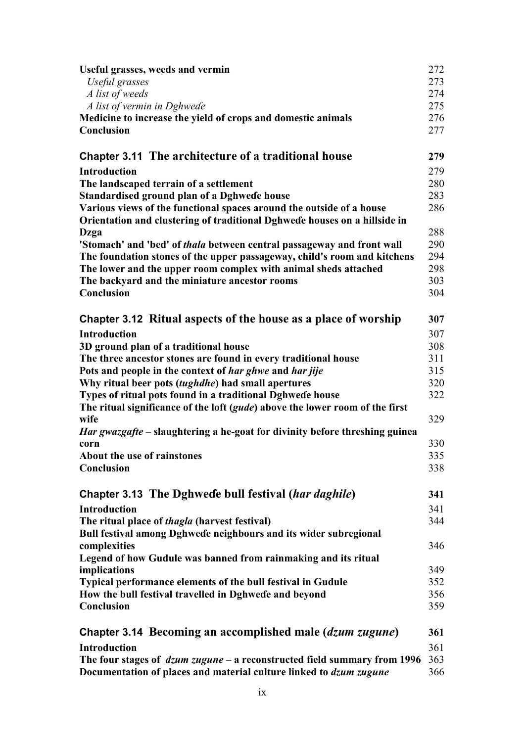| Useful grasses, weeds and vermin                                              | 272 |
|-------------------------------------------------------------------------------|-----|
| Useful grasses                                                                | 273 |
| A list of weeds                                                               | 274 |
| A list of vermin in Dghwede                                                   | 275 |
| Medicine to increase the yield of crops and domestic animals                  | 276 |
| Conclusion                                                                    | 277 |
| <b>Chapter 3.11 The architecture of a traditional house</b>                   | 279 |
| <b>Introduction</b>                                                           | 279 |
| The landscaped terrain of a settlement                                        | 280 |
| Standardised ground plan of a Dghwede house                                   | 283 |
| Various views of the functional spaces around the outside of a house          | 286 |
| Orientation and clustering of traditional Dghwede houses on a hillside in     |     |
| Dzga                                                                          | 288 |
| 'Stomach' and 'bed' of <i>thala</i> between central passageway and front wall | 290 |
| The foundation stones of the upper passageway, child's room and kitchens      | 294 |
| The lower and the upper room complex with animal sheds attached               | 298 |
| The backyard and the miniature ancestor rooms                                 | 303 |
| Conclusion                                                                    | 304 |
| Chapter 3.12 Ritual aspects of the house as a place of worship                | 307 |
| <b>Introduction</b>                                                           | 307 |
| 3D ground plan of a traditional house                                         | 308 |
| The three ancestor stones are found in every traditional house                | 311 |
| Pots and people in the context of har ghwe and har jije                       | 315 |
| Why ritual beer pots (tughdhe) had small apertures                            | 320 |
| Types of ritual pots found in a traditional Dghwede house                     | 322 |
| The ritual significance of the loft (gude) above the lower room of the first  |     |
| wife                                                                          | 329 |
| Har gwazgafte - slaughtering a he-goat for divinity before threshing guinea   |     |
| corn                                                                          | 330 |
| <b>About the use of rainstones</b>                                            | 335 |
| Conclusion                                                                    | 338 |
|                                                                               |     |
| Chapter 3.13 The Dghwede bull festival (har daghile)                          | 341 |
| <b>Introduction</b>                                                           | 341 |
| The ritual place of <i>thagla</i> (harvest festival)                          | 344 |
| Bull festival among Dghwede neighbours and its wider subregional              |     |
| complexities                                                                  | 346 |
| Legend of how Gudule was banned from rainmaking and its ritual                |     |
| implications                                                                  | 349 |
| <b>Typical performance elements of the bull festival in Gudule</b>            | 352 |
| How the bull festival travelled in Dghwede and beyond                         | 356 |
| Conclusion                                                                    | 359 |
| Chapter 3.14 Becoming an accomplished male (dzum zugune)                      | 361 |
| <b>Introduction</b>                                                           | 361 |
| The four stages of $dzum zugune - a$ reconstructed field summary from 1996    | 363 |
| Documentation of places and material culture linked to <i>dzum zugune</i>     | 366 |
|                                                                               |     |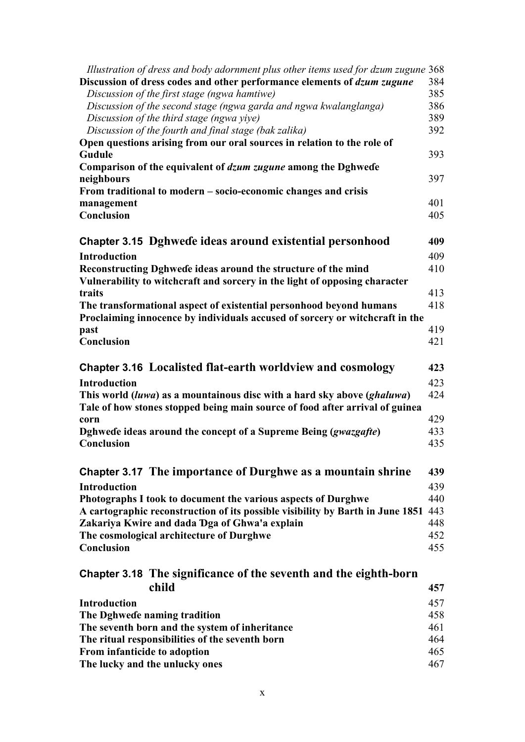| Illustration of dress and body adornment plus other items used for dzum zugune 368 |     |
|------------------------------------------------------------------------------------|-----|
| Discussion of dress codes and other performance elements of <i>dzum zugune</i>     | 384 |
| Discussion of the first stage (ngwa hamtiwe)                                       | 385 |
| Discussion of the second stage (ngwa garda and ngwa kwalanglanga)                  | 386 |
| Discussion of the third stage (ngwa yiye)                                          | 389 |
| Discussion of the fourth and final stage (bak zalika)                              | 392 |
| Open questions arising from our oral sources in relation to the role of            |     |
| Gudule                                                                             | 393 |
| Comparison of the equivalent of dzum zugune among the Dghwede                      |     |
| neighbours                                                                         | 397 |
| From traditional to modern – socio-economic changes and crisis                     |     |
| management                                                                         | 401 |
| Conclusion                                                                         | 405 |
|                                                                                    |     |
| Chapter 3.15 Dghwede ideas around existential personhood                           |     |
|                                                                                    | 409 |
| Introduction                                                                       | 409 |
| Reconstructing Dghwede ideas around the structure of the mind                      | 410 |
| Vulnerability to witchcraft and sorcery in the light of opposing character         |     |
| traits                                                                             | 413 |
| The transformational aspect of existential personhood beyond humans                | 418 |
| Proclaiming innocence by individuals accused of sorcery or witchcraft in the       |     |
| past                                                                               | 419 |
| Conclusion                                                                         | 421 |
|                                                                                    |     |
| Chapter 3.16 Localisted flat-earth worldview and cosmology                         | 423 |
| <b>Introduction</b>                                                                | 423 |
| This world (luwa) as a mountainous disc with a hard sky above (ghaluwa)            | 424 |
| Tale of how stones stopped being main source of food after arrival of guinea       |     |
| corn                                                                               | 429 |
|                                                                                    | 433 |
| Dghwede ideas around the concept of a Supreme Being (gwazgafte)<br>Conclusion      | 435 |
|                                                                                    |     |
|                                                                                    |     |
| Chapter 3.17 The importance of Durghwe as a mountain shrine                        | 439 |
| <b>Introduction</b>                                                                | 439 |
| Photographs I took to document the various aspects of Durghwe                      | 440 |
| A cartographic reconstruction of its possible visibility by Barth in June 1851     | 443 |
| Zakariya Kwire and dada Dga of Ghwa'a explain                                      | 448 |
| The cosmological architecture of Durghwe                                           | 452 |
| Conclusion                                                                         | 455 |
|                                                                                    |     |
| Chapter 3.18 The significance of the seventh and the eighth-born                   |     |
|                                                                                    |     |
| child                                                                              | 457 |
| <b>Introduction</b>                                                                | 457 |
| The Dghwede naming tradition                                                       | 458 |
| The seventh born and the system of inheritance                                     | 461 |
| The ritual responsibilities of the seventh born                                    | 464 |
| From infanticide to adoption                                                       | 465 |
| The lucky and the unlucky ones                                                     | 467 |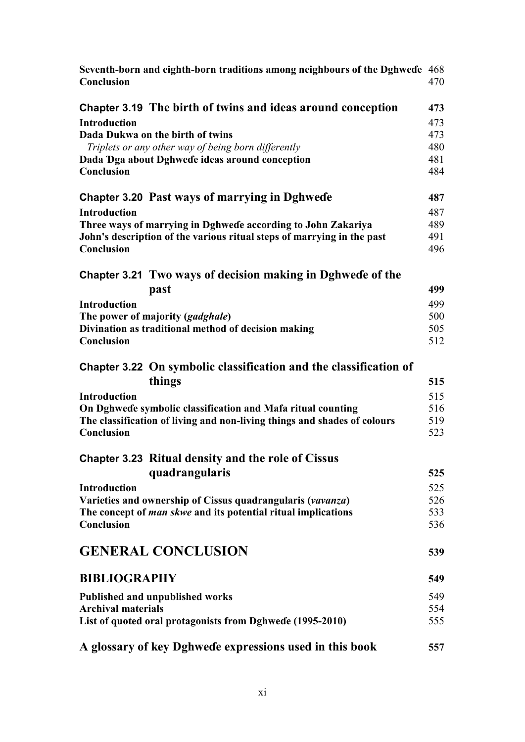| Seventh-born and eighth-born traditions among neighbours of the Dghwede 468<br>Conclusion | 470 |
|-------------------------------------------------------------------------------------------|-----|
| Chapter 3.19 The birth of twins and ideas around conception                               | 473 |
| <b>Introduction</b>                                                                       | 473 |
| Dada Dukwa on the birth of twins                                                          | 473 |
| Triplets or any other way of being born differently                                       | 480 |
| Dada Dga about Dghwede ideas around conception                                            | 481 |
| Conclusion                                                                                | 484 |
| <b>Chapter 3.20 Past ways of marrying in Dghwede</b>                                      | 487 |
| <b>Introduction</b>                                                                       | 487 |
| Three ways of marrying in Dghwede according to John Zakariya                              | 489 |
| John's description of the various ritual steps of marrying in the past                    | 491 |
| Conclusion                                                                                | 496 |
| Chapter 3.21 Two ways of decision making in Dghwede of the                                |     |
| past                                                                                      | 499 |
| <b>Introduction</b>                                                                       | 499 |
| The power of majority (gadghale)                                                          | 500 |
| Divination as traditional method of decision making                                       | 505 |
| Conclusion                                                                                | 512 |
| Chapter 3.22 On symbolic classification and the classification of<br>things               | 515 |
| <b>Introduction</b>                                                                       | 515 |
| On Dghwede symbolic classification and Mafa ritual counting                               | 516 |
| The classification of living and non-living things and shades of colours                  | 519 |
| Conclusion                                                                                | 523 |
| Chapter 3.23 Ritual density and the role of Cissus                                        |     |
| quadrangularis                                                                            | 525 |
| <b>Introduction</b>                                                                       | 525 |
| Varieties and ownership of Cissus quadrangularis (vavanza)                                | 526 |
| The concept of <i>man skwe</i> and its potential ritual implications                      | 533 |
| Conclusion                                                                                | 536 |
| <b>GENERAL CONCLUSION</b>                                                                 | 539 |
| <b>BIBLIOGRAPHY</b>                                                                       | 549 |
| <b>Published and unpublished works</b>                                                    | 549 |
| <b>Archival materials</b>                                                                 | 554 |
| List of quoted oral protagonists from Dghwede (1995-2010)                                 | 555 |
| A glossary of key Dghwede expressions used in this book                                   | 557 |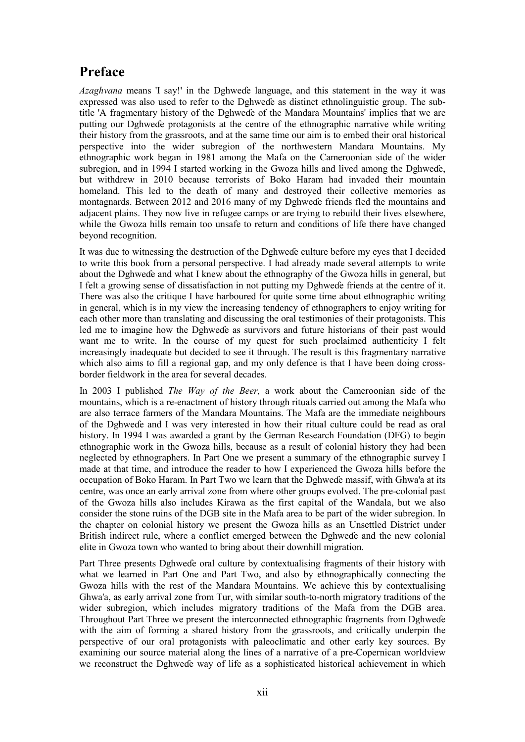### **Preface**

*Azaghvana* means 'I say!' in the Dghweɗe language, and this statement in the way it was expressed was also used to refer to the Dghweɗe as distinct ethnolinguistic group. The subtitle 'A fragmentary history of the Dghweɗe of the Mandara Mountains' implies that we are putting our Dghweɗe protagonists at the centre of the ethnographic narrative while writing their history from the grassroots, and at the same time our aim is to embed their oral historical perspective into the wider subregion of the northwestern Mandara Mountains. My ethnographic work began in 1981 among the Mafa on the Cameroonian side of the wider subregion, and in 1994 I started working in the Gwoza hills and lived among the Dghweɗe, but withdrew in 2010 because terrorists of Boko Haram had invaded their mountain homeland. This led to the death of many and destroyed their collective memories as montagnards. Between 2012 and 2016 many of my Dghweɗe friends fled the mountains and adjacent plains. They now live in refugee camps or are trying to rebuild their lives elsewhere, while the Gwoza hills remain too unsafe to return and conditions of life there have changed beyond recognition.

It was due to witnessing the destruction of the Dghweɗe culture before my eyes that I decided to write this book from a personal perspective. I had already made several attempts to write about the Dghweɗe and what I knew about the ethnography of the Gwoza hills in general, but I felt a growing sense of dissatisfaction in not putting my Dghweɗe friends at the centre of it. There was also the critique I have harboured for quite some time about ethnographic writing in general, which is in my view the increasing tendency of ethnographers to enjoy writing for each other more than translating and discussing the oral testimonies of their protagonists. This led me to imagine how the Dghweɗe as survivors and future historians of their past would want me to write. In the course of my quest for such proclaimed authenticity I felt increasingly inadequate but decided to see it through. The result is this fragmentary narrative which also aims to fill a regional gap, and my only defence is that I have been doing crossborder fieldwork in the area for several decades.

In 2003 I published *The Way of the Beer,* a work about the Cameroonian side of the mountains, which is a re-enactment of history through rituals carried out among the Mafa who are also terrace farmers of the Mandara Mountains. The Mafa are the immediate neighbours of the Dghweɗe and I was very interested in how their ritual culture could be read as oral history. In 1994 I was awarded a grant by the German Research Foundation (DFG) to begin ethnographic work in the Gwoza hills, because as a result of colonial history they had been neglected by ethnographers. In Part One we present a summary of the ethnographic survey I made at that time, and introduce the reader to how I experienced the Gwoza hills before the occupation of Boko Haram. In Part Two we learn that the Dghweɗe massif, with Ghwa'a at its centre, was once an early arrival zone from where other groups evolved. The pre-colonial past of the Gwoza hills also includes Kirawa as the first capital of the Wandala, but we also consider the stone ruins of the DGB site in the Mafa area to be part of the wider subregion. In the chapter on colonial history we present the Gwoza hills as an Unsettled District under British indirect rule, where a conflict emerged between the Dghweɗe and the new colonial elite in Gwoza town who wanted to bring about their downhill migration.

Part Three presents Dghweɗe oral culture by contextualising fragments of their history with what we learned in Part One and Part Two, and also by ethnographically connecting the Gwoza hills with the rest of the Mandara Mountains. We achieve this by contextualising Ghwa'a, as early arrival zone from Tur, with similar south-to-north migratory traditions of the wider subregion, which includes migratory traditions of the Mafa from the DGB area. Throughout Part Three we present the interconnected ethnographic fragments from Dghweɗe with the aim of forming a shared history from the grassroots, and critically underpin the perspective of our oral protagonists with paleoclimatic and other early key sources. By examining our source material along the lines of a narrative of a pre-Copernican worldview we reconstruct the Dghweɗe way of life as a sophisticated historical achievement in which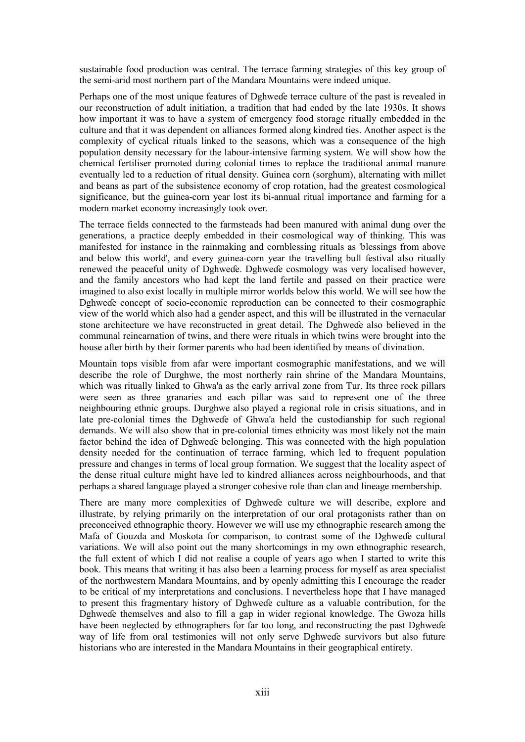sustainable food production was central. The terrace farming strategies of this key group of the semi-arid most northern part of the Mandara Mountains were indeed unique.

Perhaps one of the most unique features of Dghweɗe terrace culture of the past is revealed in our reconstruction of adult initiation, a tradition that had ended by the late 1930s. It shows how important it was to have a system of emergency food storage ritually embedded in the culture and that it was dependent on alliances formed along kindred ties. Another aspect is the complexity of cyclical rituals linked to the seasons, which was a consequence of the high population density necessary for the labour-intensive farming system. We will show how the chemical fertiliser promoted during colonial times to replace the traditional animal manure eventually led to a reduction of ritual density. Guinea corn (sorghum), alternating with millet and beans as part of the subsistence economy of crop rotation, had the greatest cosmological significance, but the guinea-corn year lost its bi-annual ritual importance and farming for a modern market economy increasingly took over.

The terrace fields connected to the farmsteads had been manured with animal dung over the generations, a practice deeply embedded in their cosmological way of thinking. This was manifested for instance in the rainmaking and cornblessing rituals as 'blessings from above and below this world', and every guinea-corn year the travelling bull festival also ritually renewed the peaceful unity of Dghweɗe. Dghweɗe cosmology was very localised however, and the family ancestors who had kept the land fertile and passed on their practice were imagined to also exist locally in multiple mirror worlds below this world. We will see how the Dghweɗe concept of socio-economic reproduction can be connected to their cosmographic view of the world which also had a gender aspect, and this will be illustrated in the vernacular stone architecture we have reconstructed in great detail. The Dghweɗe also believed in the communal reincarnation of twins, and there were rituals in which twins were brought into the house after birth by their former parents who had been identified by means of divination.

Mountain tops visible from afar were important cosmographic manifestations, and we will describe the role of Durghwe, the most northerly rain shrine of the Mandara Mountains, which was ritually linked to Ghwa'a as the early arrival zone from Tur. Its three rock pillars were seen as three granaries and each pillar was said to represent one of the three neighbouring ethnic groups. Durghwe also played a regional role in crisis situations, and in late pre-colonial times the Dghweɗe of Ghwa'a held the custodianship for such regional demands. We will also show that in pre-colonial times ethnicity was most likely not the main factor behind the idea of Dghweɗe belonging. This was connected with the high population density needed for the continuation of terrace farming, which led to frequent population pressure and changes in terms of local group formation. We suggest that the locality aspect of the dense ritual culture might have led to kindred alliances across neighbourhoods, and that perhaps a shared language played a stronger cohesive role than clan and lineage membership.

There are many more complexities of Dghweɗe culture we will describe, explore and illustrate, by relying primarily on the interpretation of our oral protagonists rather than on preconceived ethnographic theory. However we will use my ethnographic research among the Mafa of Gouzda and Moskota for comparison, to contrast some of the Dghweɗe cultural variations. We will also point out the many shortcomings in my own ethnographic research, the full extent of which I did not realise a couple of years ago when I started to write this book. This means that writing it has also been a learning process for myself as area specialist of the northwestern Mandara Mountains, and by openly admitting this I encourage the reader to be critical of my interpretations and conclusions. I nevertheless hope that I have managed to present this fragmentary history of Dghweɗe culture as a valuable contribution, for the Dghweɗe themselves and also to fill a gap in wider regional knowledge. The Gwoza hills have been neglected by ethnographers for far too long, and reconstructing the past Dghwede way of life from oral testimonies will not only serve Dghweɗe survivors but also future historians who are interested in the Mandara Mountains in their geographical entirety.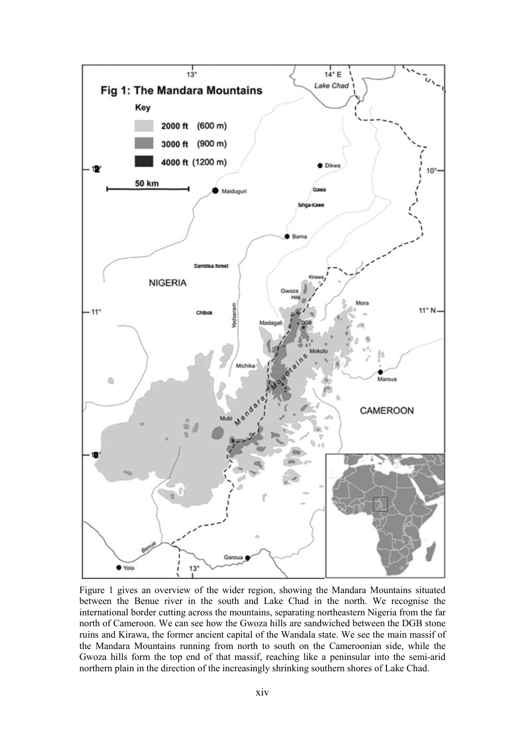

Figure 1 gives an overview of the wider region, showing the Mandara Mountains situated between the Benue river in the south and Lake Chad in the north. We recognise the international border cutting across the mountains, separating northeastern Nigeria from the far north of Cameroon. We can see how the Gwoza hills are sandwiched between the DGB stone ruins and Kirawa, the former ancient capital of the Wandala state. We see the main massif of the Mandara Mountains running from north to south on the Cameroonian side, while the Gwoza hills form the top end of that massif, reaching like a peninsular into the semi-arid northern plain in the direction of the increasingly shrinking southern shores of Lake Chad.